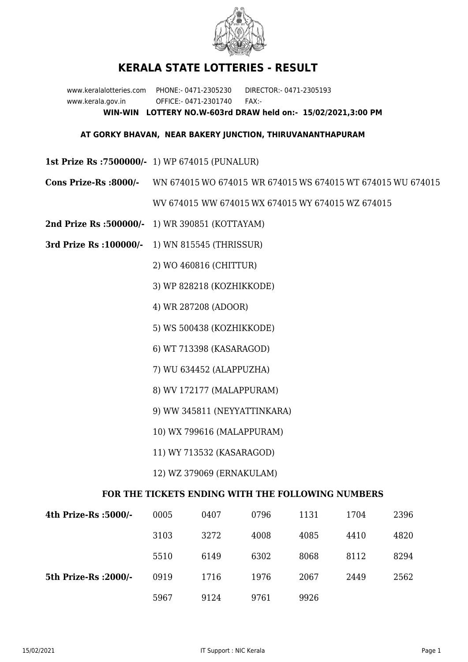

## **KERALA STATE LOTTERIES - RESULT**

www.keralalotteries.com PHONE:- 0471-2305230 DIRECTOR:- 0471-2305193 www.kerala.gov.in OFFICE:- 0471-2301740 FAX:- **WIN-WIN LOTTERY NO.W-603rd DRAW held on:- 15/02/2021,3:00 PM**

## **AT GORKY BHAVAN, NEAR BAKERY JUNCTION, THIRUVANANTHAPURAM**

- **1st Prize Rs :7500000/-** 1) WP 674015 (PUNALUR)
- **Cons Prize-Rs :8000/-** WN 674015 WO 674015 WR 674015 WS 674015 WT 674015 WU 674015

WV 674015 WW 674015 WX 674015 WY 674015 WZ 674015

- **2nd Prize Rs :500000/-** 1) WR 390851 (KOTTAYAM)
- **3rd Prize Rs :100000/-** 1) WN 815545 (THRISSUR)
	- 2) WO 460816 (CHITTUR)
	- 3) WP 828218 (KOZHIKKODE)
	- 4) WR 287208 (ADOOR)
	- 5) WS 500438 (KOZHIKKODE)
	- 6) WT 713398 (KASARAGOD)
	- 7) WU 634452 (ALAPPUZHA)
	- 8) WV 172177 (MALAPPURAM)
	- 9) WW 345811 (NEYYATTINKARA)
	- 10) WX 799616 (MALAPPURAM)
	- 11) WY 713532 (KASARAGOD)
	- 12) WZ 379069 (ERNAKULAM)

## **FOR THE TICKETS ENDING WITH THE FOLLOWING NUMBERS**

| 4th Prize-Rs :5000/-  | 0005 | 0407 | 0796 | 1131 | 1704 | 2396 |
|-----------------------|------|------|------|------|------|------|
|                       | 3103 | 3272 | 4008 | 4085 | 4410 | 4820 |
|                       | 5510 | 6149 | 6302 | 8068 | 8112 | 8294 |
| 5th Prize-Rs : 2000/- | 0919 | 1716 | 1976 | 2067 | 2449 | 2562 |
|                       | 5967 | 9124 | 9761 | 9926 |      |      |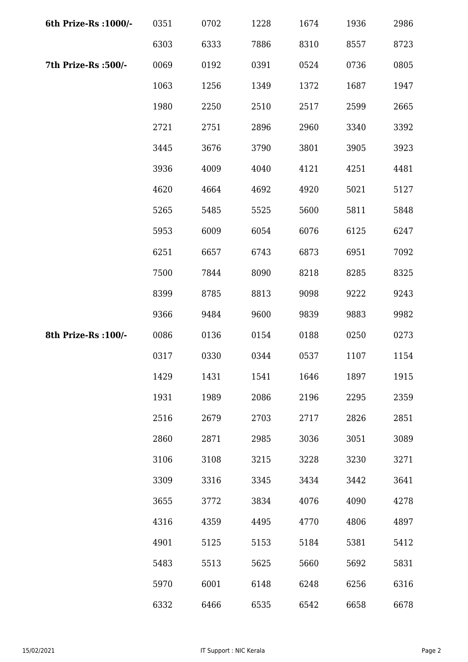| 6th Prize-Rs : 1000/- | 0351 | 0702 | 1228 | 1674 | 1936 | 2986 |
|-----------------------|------|------|------|------|------|------|
|                       | 6303 | 6333 | 7886 | 8310 | 8557 | 8723 |
| 7th Prize-Rs :500/-   | 0069 | 0192 | 0391 | 0524 | 0736 | 0805 |
|                       | 1063 | 1256 | 1349 | 1372 | 1687 | 1947 |
|                       | 1980 | 2250 | 2510 | 2517 | 2599 | 2665 |
|                       | 2721 | 2751 | 2896 | 2960 | 3340 | 3392 |
|                       | 3445 | 3676 | 3790 | 3801 | 3905 | 3923 |
|                       | 3936 | 4009 | 4040 | 4121 | 4251 | 4481 |
|                       | 4620 | 4664 | 4692 | 4920 | 5021 | 5127 |
|                       | 5265 | 5485 | 5525 | 5600 | 5811 | 5848 |
|                       | 5953 | 6009 | 6054 | 6076 | 6125 | 6247 |
|                       | 6251 | 6657 | 6743 | 6873 | 6951 | 7092 |
|                       | 7500 | 7844 | 8090 | 8218 | 8285 | 8325 |
|                       | 8399 | 8785 | 8813 | 9098 | 9222 | 9243 |
|                       | 9366 | 9484 | 9600 | 9839 | 9883 | 9982 |
| 8th Prize-Rs : 100/-  | 0086 | 0136 | 0154 | 0188 | 0250 | 0273 |
|                       | 0317 | 0330 | 0344 | 0537 | 1107 | 1154 |
|                       | 1429 | 1431 | 1541 | 1646 | 1897 | 1915 |
|                       | 1931 | 1989 | 2086 | 2196 | 2295 | 2359 |
|                       | 2516 | 2679 | 2703 | 2717 | 2826 | 2851 |
|                       | 2860 | 2871 | 2985 | 3036 | 3051 | 3089 |
|                       | 3106 | 3108 | 3215 | 3228 | 3230 | 3271 |
|                       | 3309 | 3316 | 3345 | 3434 | 3442 | 3641 |
|                       | 3655 | 3772 | 3834 | 4076 | 4090 | 4278 |
|                       | 4316 | 4359 | 4495 | 4770 | 4806 | 4897 |
|                       | 4901 | 5125 | 5153 | 5184 | 5381 | 5412 |
|                       | 5483 | 5513 | 5625 | 5660 | 5692 | 5831 |
|                       | 5970 | 6001 | 6148 | 6248 | 6256 | 6316 |
|                       | 6332 | 6466 | 6535 | 6542 | 6658 | 6678 |